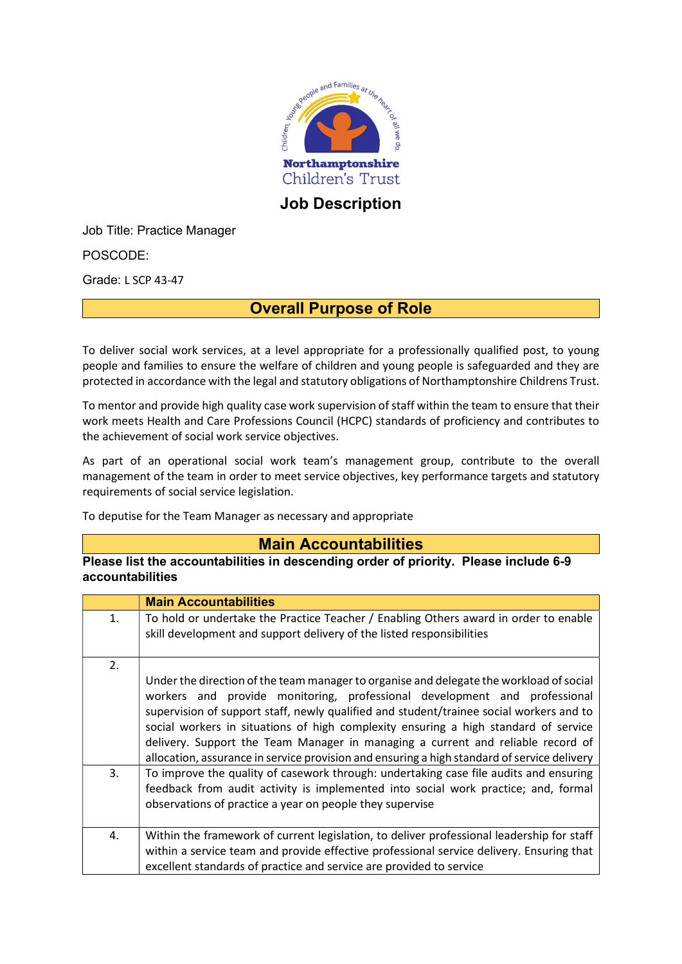

Job Description

Job Title: Practice Manager

POSCODE:

Grade: L SCP 43-47

#### Overall Purpose of Role

To deliver social work services, at a level appropriate for a professionally qualified post, to young people and families to ensure the welfare of children and young people is safeguarded and they are protected in accordance with the legal and statutory obligations of Northamptonshire Childrens Trust.

To mentor and provide high quality case work supervision of staff within the team to ensure that their work meets Health and Care Professions Council (HCPC) standards of proficiency and contributes to the achievement of social work service objectives.

As part of an operational social work team's management group, contribute to the overall management of the team in order to meet service objectives, key performance targets and statutory requirements of social service legislation.

To deputise for the Team Manager as necessary and appropriate

#### Main Accountabilities

Please list the accountabilities in descending order of priority. Please include 6-9 accountabilities

|    | <b>Main Accountabilities</b>                                                                                                                                                                                                                                                                                                                                                                                                                                                                                                             |
|----|------------------------------------------------------------------------------------------------------------------------------------------------------------------------------------------------------------------------------------------------------------------------------------------------------------------------------------------------------------------------------------------------------------------------------------------------------------------------------------------------------------------------------------------|
| 1. | To hold or undertake the Practice Teacher / Enabling Others award in order to enable<br>skill development and support delivery of the listed responsibilities                                                                                                                                                                                                                                                                                                                                                                            |
| 2. | Under the direction of the team manager to organise and delegate the workload of social<br>workers and provide monitoring, professional development and professional<br>supervision of support staff, newly qualified and student/trainee social workers and to<br>social workers in situations of high complexity ensuring a high standard of service<br>delivery. Support the Team Manager in managing a current and reliable record of<br>allocation, assurance in service provision and ensuring a high standard of service delivery |
| 3. | To improve the quality of casework through: undertaking case file audits and ensuring<br>feedback from audit activity is implemented into social work practice; and, formal<br>observations of practice a year on people they supervise                                                                                                                                                                                                                                                                                                  |
| 4. | Within the framework of current legislation, to deliver professional leadership for staff<br>within a service team and provide effective professional service delivery. Ensuring that<br>excellent standards of practice and service are provided to service                                                                                                                                                                                                                                                                             |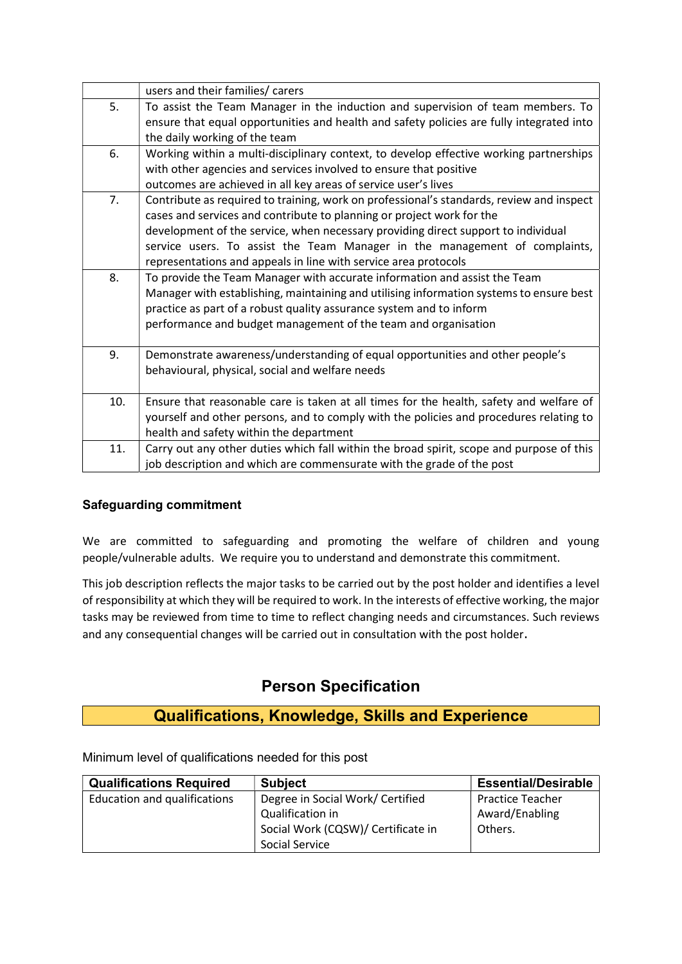|     | users and their families/ carers                                                                                                                                                                                                                                                                                                                                                                        |
|-----|---------------------------------------------------------------------------------------------------------------------------------------------------------------------------------------------------------------------------------------------------------------------------------------------------------------------------------------------------------------------------------------------------------|
| 5.  | To assist the Team Manager in the induction and supervision of team members. To<br>ensure that equal opportunities and health and safety policies are fully integrated into<br>the daily working of the team                                                                                                                                                                                            |
| 6.  | Working within a multi-disciplinary context, to develop effective working partnerships<br>with other agencies and services involved to ensure that positive<br>outcomes are achieved in all key areas of service user's lives                                                                                                                                                                           |
| 7.  | Contribute as required to training, work on professional's standards, review and inspect<br>cases and services and contribute to planning or project work for the<br>development of the service, when necessary providing direct support to individual<br>service users. To assist the Team Manager in the management of complaints,<br>representations and appeals in line with service area protocols |
| 8.  | To provide the Team Manager with accurate information and assist the Team<br>Manager with establishing, maintaining and utilising information systems to ensure best<br>practice as part of a robust quality assurance system and to inform<br>performance and budget management of the team and organisation                                                                                           |
| 9.  | Demonstrate awareness/understanding of equal opportunities and other people's<br>behavioural, physical, social and welfare needs                                                                                                                                                                                                                                                                        |
| 10. | Ensure that reasonable care is taken at all times for the health, safety and welfare of<br>yourself and other persons, and to comply with the policies and procedures relating to<br>health and safety within the department                                                                                                                                                                            |
| 11. | Carry out any other duties which fall within the broad spirit, scope and purpose of this<br>job description and which are commensurate with the grade of the post                                                                                                                                                                                                                                       |

#### Safeguarding commitment

We are committed to safeguarding and promoting the welfare of children and young people/vulnerable adults. We require you to understand and demonstrate this commitment.

This job description reflects the major tasks to be carried out by the post holder and identifies a level of responsibility at which they will be required to work. In the interests of effective working, the major tasks may be reviewed from time to time to reflect changing needs and circumstances. Such reviews and any consequential changes will be carried out in consultation with the post holder.

### Person Specification

## Qualifications, Knowledge, Skills and Experience

Minimum level of qualifications needed for this post

| <b>Qualifications Required</b>      | <b>Subject</b>                     | <b>Essential/Desirable</b> |
|-------------------------------------|------------------------------------|----------------------------|
| <b>Education and qualifications</b> | Degree in Social Work/ Certified   | <b>Practice Teacher</b>    |
|                                     | Qualification in                   | Award/Enabling             |
|                                     | Social Work (CQSW)/ Certificate in | Others.                    |
|                                     | Social Service                     |                            |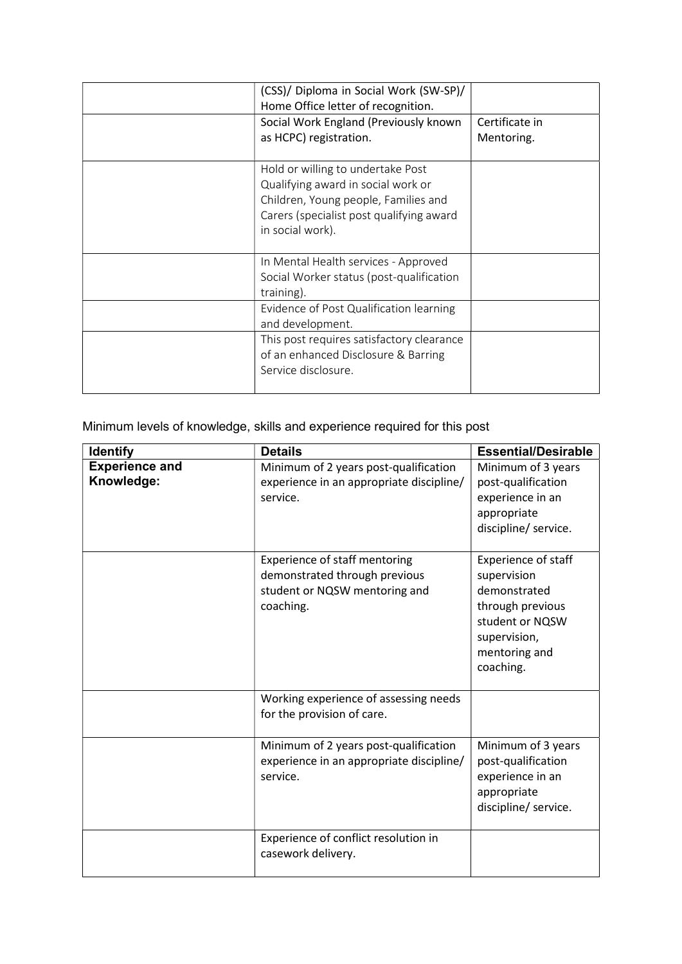| (CSS)/ Diploma in Social Work (SW-SP)/<br>Home Office letter of recognition.                                                                                                    |                              |
|---------------------------------------------------------------------------------------------------------------------------------------------------------------------------------|------------------------------|
| Social Work England (Previously known<br>as HCPC) registration.                                                                                                                 | Certificate in<br>Mentoring. |
| Hold or willing to undertake Post<br>Qualifying award in social work or<br>Children, Young people, Families and<br>Carers (specialist post qualifying award<br>in social work). |                              |
| In Mental Health services - Approved<br>Social Worker status (post-qualification<br>training).                                                                                  |                              |
| Evidence of Post Qualification learning<br>and development.                                                                                                                     |                              |
| This post requires satisfactory clearance<br>of an enhanced Disclosure & Barring<br>Service disclosure.                                                                         |                              |

Minimum levels of knowledge, skills and experience required for this post

| <b>Identify</b>                     | <b>Details</b>                                                                                               | <b>Essential/Desirable</b>                                                                                                                     |
|-------------------------------------|--------------------------------------------------------------------------------------------------------------|------------------------------------------------------------------------------------------------------------------------------------------------|
| <b>Experience and</b><br>Knowledge: | Minimum of 2 years post-qualification<br>experience in an appropriate discipline/<br>service.                | Minimum of 3 years<br>post-qualification<br>experience in an<br>appropriate<br>discipline/ service.                                            |
|                                     | Experience of staff mentoring<br>demonstrated through previous<br>student or NQSW mentoring and<br>coaching. | <b>Experience of staff</b><br>supervision<br>demonstrated<br>through previous<br>student or NQSW<br>supervision,<br>mentoring and<br>coaching. |
|                                     | Working experience of assessing needs<br>for the provision of care.                                          |                                                                                                                                                |
|                                     | Minimum of 2 years post-qualification<br>experience in an appropriate discipline/<br>service.                | Minimum of 3 years<br>post-qualification<br>experience in an<br>appropriate<br>discipline/ service.                                            |
|                                     | Experience of conflict resolution in<br>casework delivery.                                                   |                                                                                                                                                |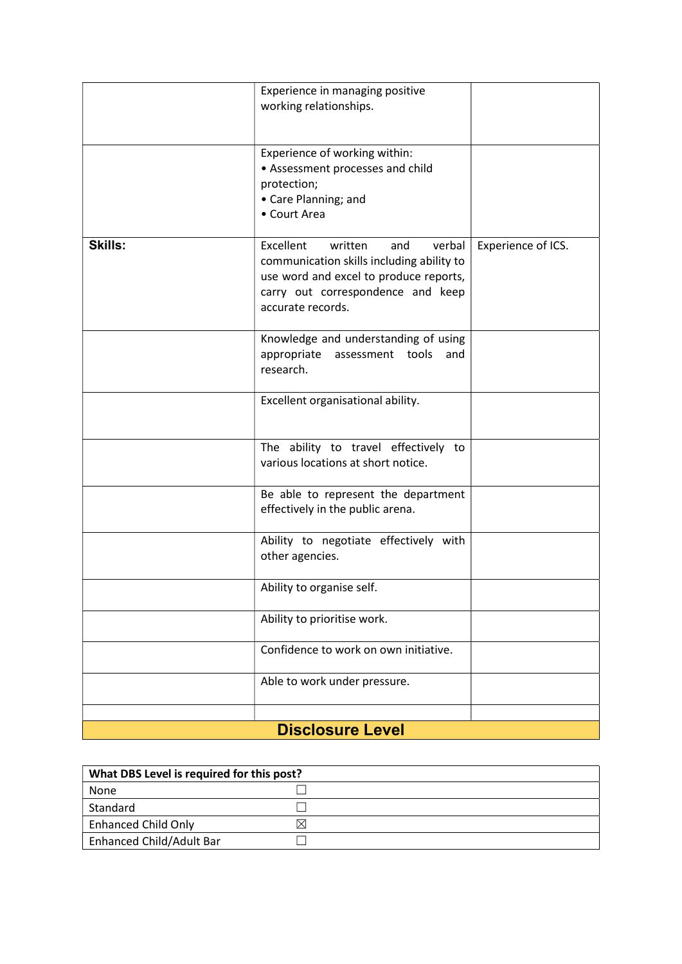|                | Experience in managing positive<br>working relationships.                                                                                                                              |                    |
|----------------|----------------------------------------------------------------------------------------------------------------------------------------------------------------------------------------|--------------------|
|                | Experience of working within:<br>• Assessment processes and child<br>protection;<br>• Care Planning; and<br>• Court Area                                                               |                    |
| <b>Skills:</b> | Excellent<br>written<br>verbal<br>and<br>communication skills including ability to<br>use word and excel to produce reports,<br>carry out correspondence and keep<br>accurate records. | Experience of ICS. |
|                | Knowledge and understanding of using<br>appropriate<br>assessment tools<br>and<br>research.                                                                                            |                    |
|                | Excellent organisational ability.                                                                                                                                                      |                    |
|                | The ability to travel effectively to<br>various locations at short notice.                                                                                                             |                    |
|                | Be able to represent the department<br>effectively in the public arena.                                                                                                                |                    |
|                | Ability to negotiate effectively with<br>other agencies.                                                                                                                               |                    |
|                | Ability to organise self.                                                                                                                                                              |                    |
|                | Ability to prioritise work.                                                                                                                                                            |                    |
|                | Confidence to work on own initiative.                                                                                                                                                  |                    |
|                | Able to work under pressure.                                                                                                                                                           |                    |
|                |                                                                                                                                                                                        |                    |
|                | <b>Disclosure Level</b>                                                                                                                                                                |                    |

| What DBS Level is required for this post? |  |  |
|-------------------------------------------|--|--|
| None                                      |  |  |
| Standard                                  |  |  |
| <b>Enhanced Child Only</b>                |  |  |
| Enhanced Child/Adult Bar                  |  |  |